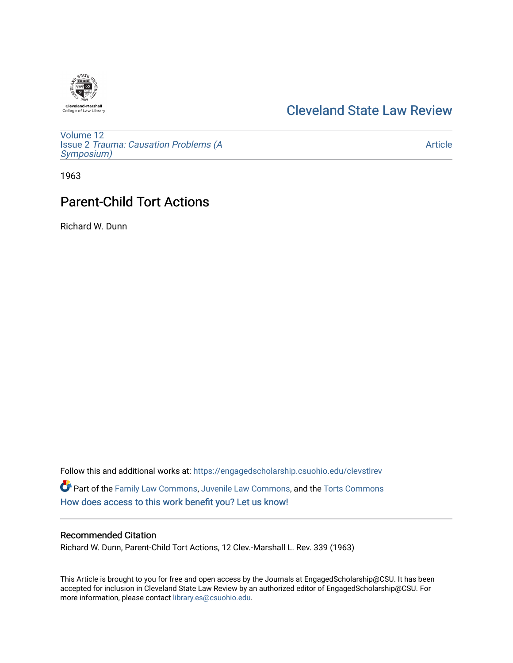

# [Cleveland State Law Review](https://engagedscholarship.csuohio.edu/clevstlrev)

[Volume 12](https://engagedscholarship.csuohio.edu/clevstlrev/vol12) Issue 2 [Trauma: Causation Problems \(A](https://engagedscholarship.csuohio.edu/clevstlrev/vol12/iss2) [Symposium\)](https://engagedscholarship.csuohio.edu/clevstlrev/vol12/iss2) 

[Article](https://engagedscholarship.csuohio.edu/clevstlrev/vol12/iss2/14) 

1963

# Parent-Child Tort Actions

Richard W. Dunn

Follow this and additional works at: [https://engagedscholarship.csuohio.edu/clevstlrev](https://engagedscholarship.csuohio.edu/clevstlrev?utm_source=engagedscholarship.csuohio.edu%2Fclevstlrev%2Fvol12%2Fiss2%2F14&utm_medium=PDF&utm_campaign=PDFCoverPages) Part of the [Family Law Commons,](http://network.bepress.com/hgg/discipline/602?utm_source=engagedscholarship.csuohio.edu%2Fclevstlrev%2Fvol12%2Fiss2%2F14&utm_medium=PDF&utm_campaign=PDFCoverPages) [Juvenile Law Commons](http://network.bepress.com/hgg/discipline/851?utm_source=engagedscholarship.csuohio.edu%2Fclevstlrev%2Fvol12%2Fiss2%2F14&utm_medium=PDF&utm_campaign=PDFCoverPages), and the [Torts Commons](http://network.bepress.com/hgg/discipline/913?utm_source=engagedscholarship.csuohio.edu%2Fclevstlrev%2Fvol12%2Fiss2%2F14&utm_medium=PDF&utm_campaign=PDFCoverPages) [How does access to this work benefit you? Let us know!](http://library.csuohio.edu/engaged/)

### Recommended Citation

Richard W. Dunn, Parent-Child Tort Actions, 12 Clev.-Marshall L. Rev. 339 (1963)

This Article is brought to you for free and open access by the Journals at EngagedScholarship@CSU. It has been accepted for inclusion in Cleveland State Law Review by an authorized editor of EngagedScholarship@CSU. For more information, please contact [library.es@csuohio.edu](mailto:library.es@csuohio.edu).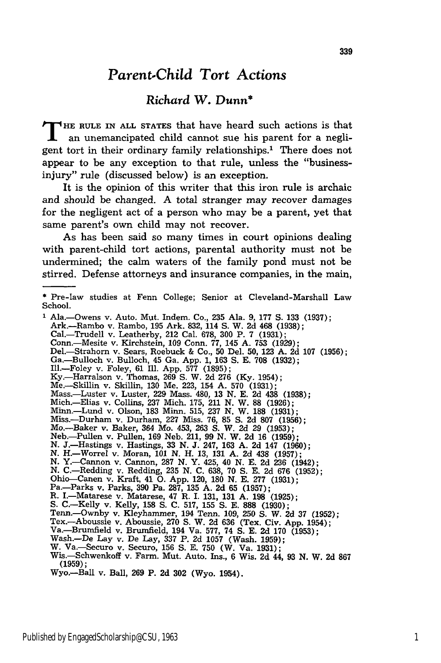## *Parent.Child Tort Actions*

### *Richard W. Dunn\**

**T HE** RULE **IN ALL STATES** that have heard such actions is that an unemancipated child cannot sue his parent for a negligent tort in their ordinary family relationships.' There does not appear to be any exception to that rule, unless the "businessinjury" rule (discussed below) is an exception.

It is the opinion of this writer that this iron rule is archaic and should be changed. A total stranger may recover damages for the negligent act of a person who may be a parent, yet that same parent's own child may not recover.

As has been said so many times in court opinions dealing with parent-child tort actions, parental authority must not be undermined; the calm waters of the family pond must not be stirred. Defense attorneys and insurance companies, in the main,

**<sup>\*</sup>** Pre-law studies at Fenn College; Senior at Cleveland-Marshall Law School. **1** Ala.-Owens v. Auto. Mut. Indem. Co., 235 Ala. 9, 177 **S.** 133 (1937); Ark.-Rambo v. Rambo, 195 Ark. 832, 114 **S.** W. 2d 468 (1938); Cal.-Trudell v. Leatherby, 212 Cal. **678, 300** P. **7 (1931);** Corn.-Mesite v. Kirchstein, **109** Conn. **77,** 145 **A. 753** (1929); Del.-Strahorn v. Sears, Roebuck & Co., 50 Del. 50, 123 **A.** 2d 107 (1956); Ga.-Bulloch v. Bulloch, 45 Ga. App. 1, 163 **S.** E. **708** (1932); Ill.-Foley v. Foley, 61 Ill. App. 577 (1895); Ky.-Harralson v. Thomas, 269 **S.** W. 2d 276 (Ky. 1954); Me.-Skillin v. Skillin, 130 Me. 223, 154 A. 570 (1931); Mass.-Luster v. Luster, **229** Mass. 480, **13 N. E. 2d** 438 **(1938);** Mich.-Elias v. Collins, 237 Mich. 175, 211 N. W. 88 (1926); Minn.-Lund v. Olson, **183** Minn. 515, **237** N. W. **188** (1931); Miss.-Durham v. Durham, 227 Miss. 76, **85** S. **2d** 807 (1956); Mo.-Baker v. Baker, 364 Mo. 453, 263 S. W. 2d 29 (1953); Neb.-Pullen v. Pullen, 169 Neb. 211, 99 N. W. **2d** 16 (1959); N. J.-Hastings v. Hastings, 33 N. J. 247, 163 **A.** 2d 147 (1960); N. H.-Worrel v. Moran, **101** N. H. 13, **131** A. 2d 438 (1957); N. Y.-Cannon v. Cannon, **287** N. Y. 425, 40 N. E. **2d 236** (1942); N. C.-Redding v. Redding, 235 N. **C.** 638, 70 **S. E.** 2d **676** (1952); Ohio-Canen v. Kraft, 41 **0.** App. 120, **180** N. E. 277 (1931); Pa.-Parks v. Parks, **390** Pa. 287, 135 A. **2d 65** (1957); R. I.-Matarese v. Matarese, 47 R. I. 131, **131 A. 198** (1925); S. C.-Kelly v. Kelly, **158 S.** C. 517, 155 **S.** E. **888** (1930); Tenn.-Ownby v. Kleyhammer, 194 Tenn. 109, **250** S. W. 2d **37** (1952); Tex.-Aboussie v. Aboussie, **270 S.** W. 2d 636 (Tex. Civ. App. 1954); Va.-Brumfield v. Brumfield, 194 Va. 577, 74 **S.** E. **2d 170** (1953); Wash.-De Lay v. De Lay, 337 P. **2d** 1057 (Wash. 1959); W. Va.-Securo v. Securo, 156 **S.** E. 750 (W. Va. 1931); Wis.-Schwenkoff v. Farm. Mut. Auto. Ins., 6 Wis. **2d** 44, **93** N. W. **2d 867** (1959); Wyo.-Ball v. Ball, **269** P. **2d 302** (Wyo. 1954).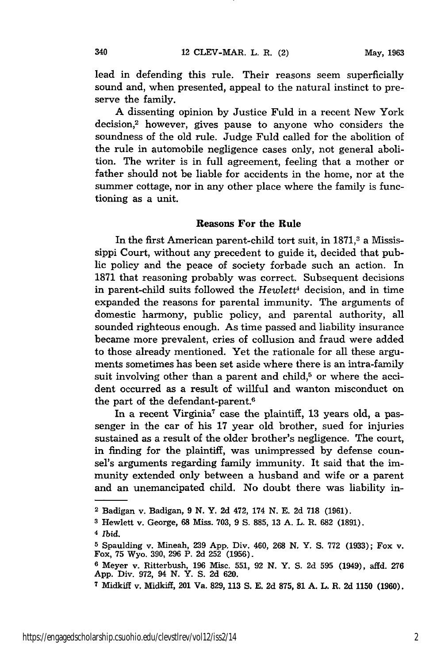lead in defending this rule. Their reasons seem superficially sound and, when presented, appeal to the natural instinct to preserve the family.

A dissenting opinion by Justice Fuld in a recent New York decision,2 however, gives pause to anyone who considers the soundness of the old rule. Judge Fuld called for the abolition of the rule in automobile negligence cases only, not general abolition. The writer is in full agreement, feeling that a mother or father should not be liable for accidents in the home, nor at the summer cottage, nor in any other place where the family is functioning as a unit.

#### Reasons **For the Rule**

In the first American parent-child tort suit, in 1871,<sup>3</sup> a Mississippi Court, without any precedent to guide it, decided that public policy and the peace of society forbade such an action. In **1871** that reasoning probably was correct. Subsequent decisions in parent-child suits followed the *Hewlett<sup>4</sup>* decision, and in time expanded the reasons for parental immunity. The arguments of domestic harmony, public policy, and parental authority, all sounded righteous enough. As time passed and liability insurance became more prevalent, cries of collusion and fraud were added to those already mentioned. Yet the rationale for all these arguments sometimes has been set aside where there is an intra-family suit involving other than a parent and child, $5$  or where the accident occurred as a result of willful and wanton misconduct on the part of the defendant-parent.<sup>6</sup>

In a recent Virginia<sup>7</sup> case the plaintiff, 13 years old, a passenger in the car of his **17** year old brother, sued for injuries sustained as a result of the older brother's negligence. The court, in finding for the plaintiff, was unimpressed by defense counsel's arguments regarding family immunity. It said that the immunity extended only between a husband and wife or a parent and an unemancipated child. No doubt there was liability in-

<sup>2</sup> Badigan v. Badigan, 9 **N.** Y. 2d 472, 174 N. E. 2d **718** (1961).

**<sup>3</sup>**Hewlett v. George, 68 Miss. **703, 9 S. 885, 13 A.** L. R. **682 (1891).**

**<sup>4</sup>** *Ibid.*

**<sup>5</sup>**Spaulding v. Mineah, **239 App.** Div. 460, **268 N.** Y. **S. 772 (1933);** Fox v. Fox, **75** Wyo. **390, 296** P. **2d 252 (1956).**

**<sup>6</sup>**Meyer v. Ritterbush, **196** Misc. **551, 92 N.** Y. **S. 2d 595** (1949), affd. **276 App.** Div. **972,** 94 **N.** Y. **S. 2d 620.**

**<sup>7</sup>**Midkiff v. Midkiff, 201 Va. **829, 113 S. E. 2d 875, 81 A.** L. R. **2d 1150 (1960).**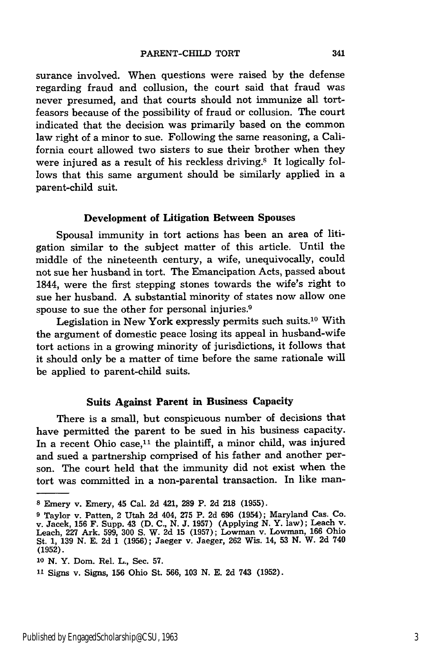surance involved. When questions were raised by the defense regarding fraud and collusion, the court said that fraud was never presumed, and that courts should not immunize all tortfeasors because of the possibility of fraud or collusion. The court indicated that the decision was primarily based on the common law right of a minor to sue. Following the same reasoning, a California court allowed two sisters to sue their brother when they were injured as a result of his reckless driving.<sup>8</sup> It logically follows that this same argument should be similarly applied in a parent-child suit.

#### Development of Litigation Between Spouses

Spousal immunity in tort actions has been an area of litigation similar to the subject matter of this article. Until the middle of the nineteenth century, a wife, unequivocally, could not sue her husband in tort. The Emancipation Acts, passed about 1844, were the first stepping stones towards the wife's right to sue her husband. A substantial minority of states now allow one spouse to sue the other for personal injuries.<sup>9</sup>

Legislation in New York expressly permits such suits.10 With the argument of domestic peace losing its appeal in husband-wife tort actions in a growing minority of jurisdictions, it follows that it should only be a matter of time before the same rationale will be applied to parent-child suits.

#### **Suits Against Parent in Business Capacity**

**There is** a small, but conspicuous number of decisions that have permitted the parent to be sued in his business capacity. In a recent Ohio case,<sup>11</sup> the plaintiff, a minor child, was injured and sued a partnership comprised of his father and another person. The court held that the immunity did not exist when the tort was committed in a non-parental transaction. In like man-

**<sup>8</sup>** Emery v. Emery, 45 Cal. **2d** 421, **289** P. **2d 218 (1955).**

**<sup>9</sup>**Taylor v. Patten, 2 Utah **2d** 404, **275** P. **2d 696** (1954); Maryland Cas. Co. v. Jacek, **156** F. Supp. 43 **(D. C., N. J. 1957)** (Applying **N.** Y. law); Leach v. Leach, **227** Ark. **599, 300 S.** W. **2d 15 (1957);** Lowman v. Lowman, **166** Ohio St. **1, 139 N. E. 2d 1 (1956);** Jaeger v. Jaeger, **262** Wis. 14, **53 N.** W. **2d** 740 **(1952).**

**<sup>10</sup> N.** Y. Dom. Rel. L., Sec. **57.**

**<sup>11</sup>**Signs v. Signs, **156** Ohio St. **566, 103 N. E. 2d** 743 **(1952).**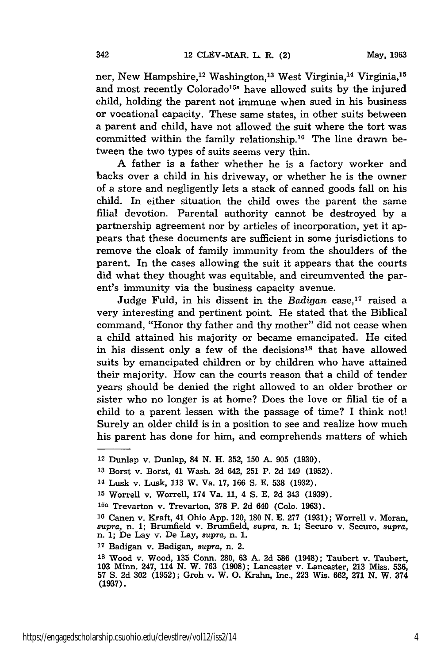ner, New Hampshire,<sup>12</sup> Washington,<sup>13</sup> West Virginia,<sup>14</sup> Virginia,<sup>15</sup> and most recently Colorado<sup>15a</sup> have allowed suits by the injured child, holding the parent not immune when sued in his business or vocational capacity. These same states, in other suits between a parent and child, have not allowed the suit where the tort was committed within the family relationship.<sup>16</sup> The line drawn between the two types of suits seems very thin.

A father is a father whether he is a factory worker and backs over a child in his driveway, or whether he is the owner of a store and negligently lets a stack of canned goods fall on his child. In either situation the child owes the parent the same filial devotion. Parental authority cannot be destroyed by a partnership agreement nor by articles of incorporation, yet it appears that these documents are sufficient in some jurisdictions to remove the cloak of family immunity from the shoulders of the parent. In the cases allowing the suit it appears that the courts did what they thought was equitable, and circumvented the parent's immunity via the business capacity avenue.

Judge Fuld, in his dissent in the *Badigan* case,<sup>17</sup> raised a very interesting and pertinent point. He stated that the Biblical command, "Honor thy father and thy mother" did not cease when a child attained his majority or became emancipated. He cited in his dissent only a few of the decisions<sup>18</sup> that have allowed suits by emancipated children or by children who have attained their majority. How can the courts reason that a child of tender years should be denied the right allowed to an older brother or sister who no longer is at home? Does the love or filial tie of a child to a parent lessen with the passage of time? I think not! Surely an older child is in a position to see and realize how much his parent has done for him, and comprehends matters of which

**<sup>12</sup>**Dunlap v. Dunlap, 84 N. H. 352, **150 A. 905 (1930).**

**<sup>13</sup>**Borst v. Borst, 41 Wash. 2d 642, **251** P. 2d 149 (1952).

<sup>14</sup> Lusk v. Lusk, 113 W. Va. 17, 166 S. E. **538** (1932).

**<sup>15</sup>**Worrell v. Worrell, 174 Va. 11, 4 S. E. **2d** 343 (1939).

**<sup>15</sup>a** Trevarton v. Trevarton, **378** P. 2d 640 (Colo. 1963).

**<sup>16</sup>**Canen v. Kraft, 41 Ohio App. 120, 180 N. E. 277 (1931); Worrell v. Moran, *supra,* n. 1; Brumfield v. Brumfield, supra, n. 1; Securo v. Securo, *supra,* n. 1; De Lay v. De Lay, *supra,* n. 1.

**<sup>17</sup>**Badigan v. Badigan, *supra,* n. 2.

**<sup>18</sup>**Wood v. Wood, 135 Conn. **280, 63 A.** 2d **586** (1948); Taubert v. Taubert, 103 Minn. 247, 114 N. W. 763 (1908); Lancaster v. Lancaster, 213 Miss. 536, 57 S. 2d 302 (1952); Groh v. W. **0.** Krahn, Inc., 223 Wis. 662, **271** N. W. 374 **(1937).**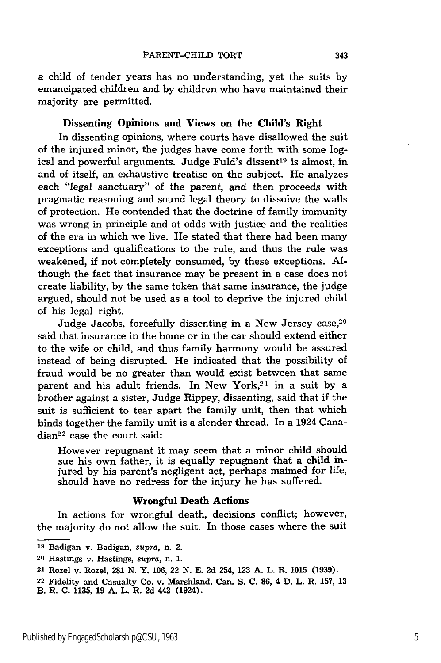a child of tender years has no understanding, yet the suits by emancipated children and by children who have maintained their majority are permitted.

#### Dissenting **Opinions and Views on the Child's Right**

In dissenting opinions, where courts have disallowed the suit of the injured minor, the judges have come forth with some logical and powerful arguments. Judge Fuld's dissent<sup>19</sup> is almost, in and of itself, an exhaustive treatise on the subject. He analyzes each "legal sanctuary" of the parent, and then proceeds with pragmatic reasoning and sound legal theory to dissolve the walls of protection. He contended that the doctrine of family immunity was wrong in principle and at odds with justice and the realities of the era in which we live. He stated that there had been many exceptions and qualifications to the rule, and thus the rule was weakened, if not completely consumed, by these exceptions. **Al**though the fact that insurance may be present in a case does not create liability, by the same token that same insurance, the judge argued, should not be used as a tool to deprive the injured child of his legal right.

Judge Jacobs, forcefully dissenting in a New Jersey case,<sup>20</sup> said that insurance in the home or in the car should extend either to the wife or child, and thus family harmony would be assured instead of being disrupted. He indicated that the possibility of fraud would be no greater than would exist between that same parent and his adult friends. In New York, $2<sup>1</sup>$  in a suit by a brother against a sister, Judge Rippey, dissenting, said that if the suit is sufficient to tear apart the family unit, then that which binds together the family unit is a slender thread. In a 1924 Cana $dian<sup>22</sup>$  case the court said:

However repugnant it may seem that a minor child should sue his own father, it is equally repugnant that a child injured by his parent's negligent act, perhaps maimed for life, should have no redress for the injury he has suffered.

#### **Wrongful Death Actions**

In actions for wrongful death, decisions conflict; however, the majority do not allow the suit. In those cases where the suit

**<sup>19</sup>**Badigan v. Badigan, *supra,* n. 2.

**<sup>20</sup>**Hastings v. Hastings, *supra,* n. **1.**

**<sup>21</sup>** Rozel v. Rozel, **281 N.** Y. **106,** 22 **N. E. 2d** 254, **123 A.** L. R. **1015 (1939).**

**<sup>22</sup>** Fidelity and Casualty Co. v. Marshland, Can. **S. C. 86,** 4 **D.** L. R. **157, 13**

B. R. **C. 1135, 19 A.** L. R. **2d** 442 (1924).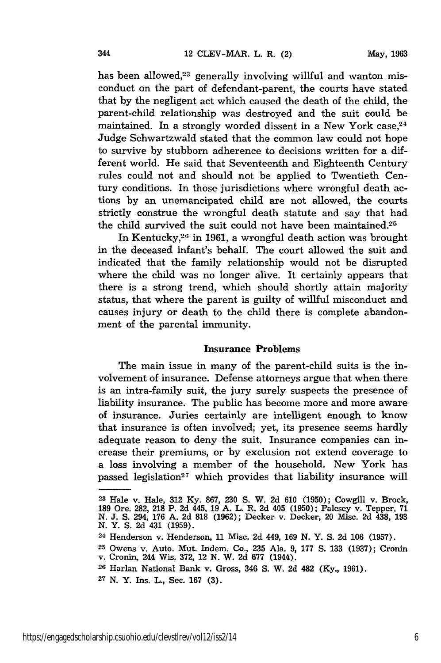has been allowed,<sup>23</sup> generally involving willful and wanton misconduct on the part of defendant-parent, the courts have stated that by the negligent act which caused the death of the child, the parent-child relationship was destroyed and the suit could be maintained. In a strongly worded dissent in a New York case,<sup>24</sup> Judge Schwartzwald stated that the common law could not hope to survive by stubborn adherence to decisions written for a different world. He said that Seventeenth and Eighteenth Century rules could not and should not be applied to Twentieth Century conditions. In those jurisdictions where wrongful death actions by an unemancipated child are not allowed, the courts strictly construe the wrongful death statute and say that had the child survived the suit could not have been maintained.<sup>25</sup>

In Kentucky,26 in 1961, a wrongful death action was brought in the deceased infant's behalf. The court allowed the suit and indicated that the family relationship would not be disrupted where the child was no longer alive. It certainly appears that there is a strong trend, which should shortly attain majority status, that where the parent is guilty of willful misconduct and causes injury or death to the child there is complete abandonment of the parental immunity.

#### Insurance Problems

The main issue in many of the parent-child suits is the involvement of insurance. Defense attorneys argue that when there is an intra-family suit, the jury surely suspects the presence of liability insurance. The public has become more and more aware of insurance. Juries certainly are intelligent enough to know that insurance is often involved; yet, its presence seems hardly adequate reason to deny the suit. Insurance companies can increase their premiums, or by exclusion not extend coverage to a loss involving a member of the household. New York has passed legislation<sup>27</sup> which provides that liability insurance will

- **<sup>26</sup>**Harlan National Bank v. Gross, 346 **S.** W. 2d 482 (Ky., 1961).
- **27** N. Y. Ins. L., Sec. 167 (3).

**<sup>23</sup>**Hale v. Hale, **312** Ky. 867, 230 S. W. 2d 610 (1950); Cowgill v. Brock, **189** Ore. 282, **218** P. 2d 445, 19 A. L. R. 2d 405 (1950); Palcsey v. Tepper, 71 *N.* J. S. 294, 176 A. 2d **818** (1962); Decker v. Decker, 20 Misc. 2d 438, 193 **N.** Y. S. 2d 431 (1959).

<sup>24</sup> Henderson v. Henderson, 11 Misc. 2d 449, 169 N. Y. S. 2d 106 (1957).

**<sup>25</sup>**Owens v. Auto. Mut. Indem. Co., **235** Ala. 9, 177 S. 133 (1937); Cronin v. Cronin, 244 Wis. 372, 12 **N.** W. 2d 677 (1944).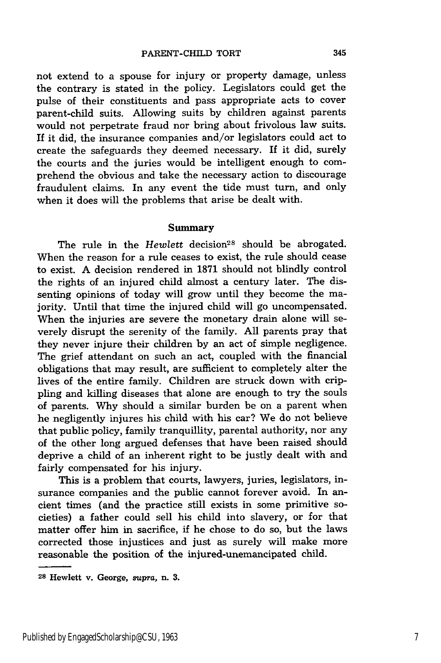not extend to a spouse for injury or property damage, unless the contrary is stated in the policy. Legislators could get the pulse of their constituents and pass appropriate acts to cover parent-child suits. Allowing suits by children against parents would not perpetrate fraud nor bring about frivolous law suits. If it did, the insurance companies and/or legislators could act to create the safeguards they deemed necessary. If it did, surely the courts and the juries would be intelligent enough to comprehend the obvious and take the necessary action to discourage fraudulent claims. In any event the tide must turn, and only when it does will the problems that arise be dealt with.

#### Summary

The rule in the *Hewlett* decision<sup>28</sup> should be abrogated. When the reason for a rule ceases to exist, the rule should cease to exist. A decision rendered in 1871 should not blindly control the rights of an injured child almost a century later. The dissenting opinions of today will grow until they become the majority. Until that time the injured child will go uncompensated. When the injuries are severe the monetary drain alone will severely disrupt the serenity of the family. All parents pray that they never injure their children by an act of simple negligence. The grief attendant on such an act, coupled with the financial obligations that may result, are sufficient to completely alter the lives of the entire family. Children are struck down with crippling and killing diseases that alone are enough to try the souls of parents. Why should a similar burden be on a parent when he negligently injures his child with his car? We do not believe that public policy, family tranquillity, parental authority, nor any of the other long argued defenses that have been raised should deprive a child of an inherent right to be justly dealt with and fairly compensated for his injury.

This is a problem that courts, lawyers, juries, legislators, insurance companies and the public cannot forever avoid. In ancient times (and the practice still exists in some primitive societies) a father could sell his child into slavery, or for that matter offer him in sacrifice, if he chose to do so, but the laws corrected those injustices and just as surely will make more reasonable the position of the injured-unemancipated child.

345

**<sup>28</sup>**Hewlett v. George, supra, n. **3.**